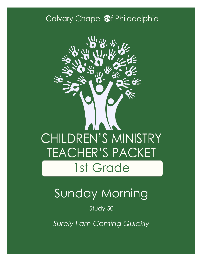### Calvary Chapel @f Philadelphia



# Sunday Morning

Study 50

*Surely I am Coming Quickly*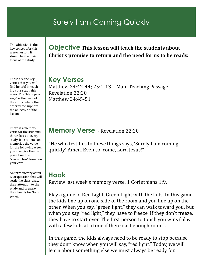### Surely I am Coming Quickly

The Objective is the key concept for this weeks lesson. It should be the main focus of the study

These are the key verses that you will find helpful in teaching your study this week. The "Main passage" is the basis of the study, where the other verse support the objective of the lesson.

There is a memory verse for the students that relates to every study. If a student can memorize the verse for the following week you may give them a prize from the "reward box" found on your cart.

An introductory activity or question that will settle the class, draw their attention to the study and prepare their hearts for God's Word.

#### **Objective This lesson will teach the students about Christ's promise to return and the need for us to be ready.**

**Key Verses** Matthew 24:42-44; 25:1-13—Main Teaching Passage Revelation 22:20 Matthew 24:45-51

#### **Memory Verse** - Revelation 22:20

"He who testifies to these things says, 'Surely I am coming quickly.' Amen. Even so, come, Lord Jesus!"

#### **Hook**

Review last week's memory verse, 1 Corinthians 1:9.

Play a game of Red Light, Green Light with the kids. In this game, the kids line up on one side of the room and you line up on the other. When you say, "green light," they can walk toward you, but when you say "red light," they have to freeze. If they don't freeze, they have to start over. The first person to touch you wins (play with a few kids at a time if there isn't enough room).

In this game, the kids always need to be ready to stop because they don't know when you will say, "red light." Today, we will learn about something else we must always be ready for.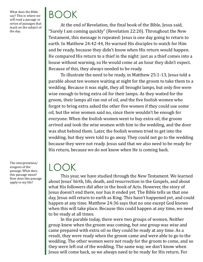What does the Bible say? This is where we will read a passage or series of passages that teach on the subject of the day.

## BOOK

At the end of Revelation, the final book of the Bible, Jesus said, "Surely I am coming quickly" (Revelation 22:20). Throughout the New Testament, this message is repeated: Jesus is one day going to return to earth. In Matthew 24:42-44, He warned His disciples to watch for Him and be ready, because they didn't know when His return would happen. He compared His return to a thief in the night: just as a thief comes into a house without warning, so He would come at an hour they didn't expect. Because of this, they always needed to be ready.

To illustrate the need to be ready, in Matthew 25:1-13, Jesus told a parable about ten women waiting at night for the groom to take them to a wedding. Because it was night, they all brought lamps, but only five were wise enough to bring extra oil for their lamps. As they waited for the groom, their lamps all ran out of oil, and the five foolish women who forgot to bring extra asked the other five women if they could use some oil, but the wise women said no, since there wouldn't be enough for everyone. When the foolish women went to buy extra oil, the groom arrived and took the wise women with him to the wedding, and the door was shut behind them. Later, the foolish women tried to get into the wedding, but they were told to go away. They could not go to the wedding because they were not ready. Jesus said that we also need to be ready for His return, because we do not know when He is coming back.

The interpretation/ exegesis of the passage. What does this passage mean? How does this passage apply to my life?

### LOOK

This year, we have studied through the New Testament. We learned about Jesus' birth, life, death, and resurrection in the Gospels, and about what His followers did after in the book of Acts. However, the story of Jesus doesn't end there, nor has it ended yet. The Bible tells us that one day, Jesus will return to earth as King. This hasn't happened yet, and could happen at any time. Matthew 24:36 says that no one except God knows when this will take place. Because this could happen at any time, we need to be ready at all times.

In the parable today, there were two groups of women. Neither group knew when the groom was coming, but one group was wise and came prepared with extra oil so they could be ready at any time. As a result, they were ready when the groom came and were able to go to the wedding. The other women were not ready for the groom to come, and so they were left out of the wedding. The same way, we don't know when Jesus will come back, so we always need to be ready for His return. For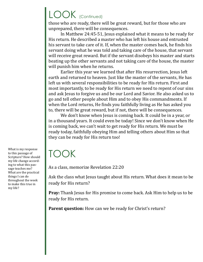## LOOK (Continued)

those who are ready, there will be great reward, but for those who are unprepared, there will be consequences.

In Matthew 24:45-51, Jesus explained what it means to be ready for His return. He described a master who has left his house and entrusted his servant to take care of it. If, when the master comes back, he finds his servant doing what he was told and taking care of the house, that servant will receive great reward. But if the servant disobeys his master and starts beating up the other servants and not taking care of the house, the master will punish him when he returns.

Earlier this year we learned that after His resurrection, Jesus left earth and returned to heaven. Just like the master of the servants, He has left us with several responsibilities to be ready for His return. First and most importantly, to be ready for His return we need to repent of our sins and ask Jesus to forgive us and be our Lord and Savior. He also asked us to go and tell other people about Him and to obey His commandments. If when the Lord returns, He finds you faithfully living as He has asked you to, there will be great reward, but if not, there will be consequences.

We don't know when Jesus is coming back. It could be in a year, or in a thousand years. It could even be today! Since we don't know when He is coming back, we can't wait to get ready for His return. We must be ready today, faithfully obeying Him and telling others about Him so that they can be ready for His return too!

### TOOK

As a class, memorize Revelation 22:20

Ask the class what Jesus taught about His return. What does it mean to be ready for His return?

**Pray:** Thank Jesus for His promise to come back. Ask Him to help us to be ready for His return.

**Parent question:** How can we be ready for Christ's return?

What is my response to this passage of Scripture? How should my life change according to what this passage teaches me? What are the practical things I can do throughout the week to make this true in my life?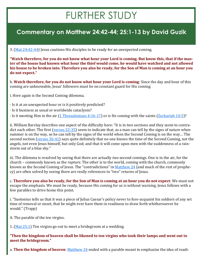## FURTHER STUDY

#### **Commentary on Matthew 24:42-44; 25:1-13 by David Guzik**

3. [\(Mat 24:42](https://www.blueletterbible.org/kjv/matthew/24/40-44/s_953040)-44) Jesus cautions His disciples to be ready for an unexpected coming.

**"Watch therefore, for you do not know what hour your Lord is coming. But know this, that if the master of the house had known what hour the thief would come, he would have watched and not allowed his house to be broken into. Therefore you also be ready, for the Son of Man is coming at an hour you do not expect."**

b. **Watch therefore, for you do not know what hour your Lord is coming**: Since the day and hour of this coming are unknowable, Jesus' followers must be on constant guard for His coming.

i. Here again is the Second Coming dilemma.

- · Is it at an unexpected hour or is it positively predicted?
- · Is it business as usual or worldwide cataclysm?
- · Is it meeting Him in the air [\(1 Thessalonians 4:16](https://www.blueletterbible.org/kjv/1thessalonians/4/16-17/s_1115016)-17) or is He coming with the saints ([Zechariah 14:5\)](https://www.blueletterbible.org/kjv/zechariah/14/5/s_925005)?

ii. William Barclay describes one aspect of the difficulty here: "It is in two sections and they seem to contradict each other. The first ([verses 32](https://www.blueletterbible.org/kjv/matthew/24/32-35/s_953032)-35) seem to indicate that, as a man can tell by the signs of nature when summer is on the way, so he can tell by the signs of the world when the Second Coming is on the way… The second section ([verses 36](https://www.blueletterbible.org/kjv/matthew/24/36-41/s_953036)-41) says quite definitely that no one knows the time of the Second Coming, not the angels, not even Jesus himself, but only God; and that it will come upon men with the suddenness of a rainstorm out of a blue sky."

iii. The dilemma is resolved by seeing that there are actually *two* second comings. One is in the air, for the church – commonly known as the *rapture*. The other is to the world, coming with the church, commonly known as the Second Coming of Jesus. The "contradictions" in [Matthew 24](https://www.blueletterbible.org/kjv/matthew/24/1-51/s_953001) (and much of the rest of prophecy) are often solved by seeing there are really references to "two" returns of Jesus.

c. **Therefore you also be ready, for the Son of Man is coming at an hour you do not expect**: We must not escape the emphasis. We must be ready, because His coming for us is without warning. Jesus follows with a few parables to drive home this point.

i. "Suetonius tells us that it was a piece of Julius Caesar's policy never to fore-acquaint his soldiers of any set time of removal or onset, that he might ever have them in readiness to draw forth whithersoever he would." (Trapp)

- A. The parable of the ten virgins.
- 1. [\(Mat 25:1\)](https://www.blueletterbible.org/kjv/matthew/25/1/s_954001) Ten virgins go out to meet a bridegroom at a wedding.

**"Then the kingdom of heaven shall be likened to ten virgins who took their lamps and went out to meet the bridegroom."**

a. **Then the kingdom of heaven**: [Matthew 24](https://www.blueletterbible.org/kjv/matthew/24/1-51/s_953001) ended with a parable meant to emphasize the idea of readi-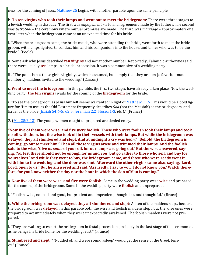ness for the coming of Jesus. [Matthew 25](https://www.blueletterbible.org/kjv/matthew/25/1-46/s_954001) begins with another parable upon the same principle.

b. **To ten virgins who took their lamps and went out to meet the bridegroom**: There were three stages to a Jewish wedding in that day. The first was *engagement* – a formal agreement made by the fathers. The second was *betrothal* – the ceremony where mutual promises are made. The third was *marriage* – approximately one year later when the bridegroom came at an unexpected time for his bride.

i. "When the bridegroom came, the bride-maids, who were attending the bride, went forth to meet the bridegroom, with lamps lighted, to conduct him and his companions into the house, and to her who was to be the bride." (Poole)

ii. Some ask why Jesus described **ten virgins** and not another number. Reportedly, Talmudic authorities said there were usually **ten** lamps in a bridal procession. It was a common size of a wedding party.

iii. "The point is not these girls' virginity, which is assumed, but simply that they are ten (a favorite round number...) maidens invited to the wedding." (Carson)

c. **Went to meet the bridegroom**: In this parable, the first two stages have already taken place. Now the wedding party (**the ten virgins**) waits for the coming of the **bridegroom** for the bride.

i. "To see the bridegroom as Jesus himself seems warranted in light of [Matthew 9:15.](https://www.blueletterbible.org/kjv/matthew/9/15/s_938015) This would be a bold figure for Him to use, as the Old Testament frequently describes *God* (not the Messiah) as the bridegroom, and Israel as the bride ([Isaiah 54:4](https://www.blueletterbible.org/kjv/isaiah/54/4-5/s_733004)-5; [62:5;](https://www.blueletterbible.org/kjv/isaiah/62/5/s_741005) [Jeremiah 2:2;](https://www.blueletterbible.org/kjv/jeremiah/2/2/s_747002) [Hosea 1](https://www.blueletterbible.org/kjv/hosea/1/1-11/s_863001)-3, *etc.*)." (France)

2. ([Mat 25:2](https://www.blueletterbible.org/kjv/matthew/25/2-13/s_954002)-13) The young women caught unprepared are denied entry.

**"Now five of them were wise, and five** *were* **foolish. Those who** *were* **foolish took their lamps and took no oil with them, but the wise took oil in their vessels with their lamps. But while the bridegroom was delayed, they all slumbered and slept. And at midnight a cry was** *heard:* **'Behold, the bridegroom is coming; go out to meet him!' Then all those virgins arose and trimmed their lamps. And the foolish said to the wise, 'Give us** *some* **of your oil, for our lamps are going out.' But the wise answered, saying,** *'No,* **lest there should not be enough for us and you; but go rather to those who sell, and buy for yourselves.' And while they went to buy, the bridegroom came, and those who were ready went in with him to the wedding; and the door was shut. Afterward the other virgins came also, saying, 'Lord, Lord, open to us!' But he answered and said, 'Assuredly, I say to you, I do not know you.' Watch therefore, for you know neither the day nor the hour in which the Son of Man is coming."**

a. **Now five of them were wise, and five were foolish**: Some in the wedding party were **wise** and prepared for the coming of the bridegroom. Some in the wedding party were **foolish** and unprepared.

i. "Foolish, wise, not bad and good, but prudent and imprudent, thoughtless and thoughtful." (Bruce)

b. **While the bridegroom was delayed, they all slumbered and slept**: All ten of the maidens slept, because the bridegroom was **delayed**. In this parable both the wise and foolish maidens slept, but the wise ones were prepared to act immediately when they were unexpectedly awakened. The foolish maidens were not prepared.

i. "They are waiting to escort the bridegroom in festal procession, probably in the last stage of the ceremonies as he brings his bride home for the wedding feast." (France)

ii. **Slumbered and slept**: " 'Nodded off and were sound asleep' would get the sense of the Greek tenses." (France)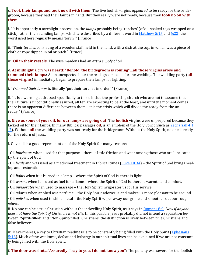c. **Took their lamps and took no oil with them**: The five foolish virgins *appeared* to be ready for the bridegroom, because they had their lamps in hand. But they really were not ready, because they **took no oil with them**.

i. "It is apparently a torchlight procession, the *lamps* probably being 'torches' (of oil-soaked rags wrapped on a stick) rather than standing lamps, which are described by a different word in  $M$ atthew 5:15 and [6:22;](https://www.blueletterbible.org/kjv/matthew/6/22/s_935022) the word used here regularly means 'torch'." (France)

ii. "Their *torches* consisting of a wooden staff held in the hand, with a dish at the top, in which was a piece of cloth or rope dipped in oil or pitch." (Bruce)

iii. **Oil in their vessels**: The wise maidens had an *extra supply* of oil.

d. **At midnight a cry was heard: "Behold, the bridegroom is coming"…all those virgins arose and trimmed their lamps**: At an unexpected hour the bridegroom came for the wedding. The wedding party (**all those virgins**) immediately began to prepare their lamps for lighting.

i. "*Trimmed their lamps* is literally 'put their torches in order'." (France)

ii. "It is a warning addressed specifically to those inside the professing church who are not to assume that their future is unconditionally assured; all ten are expecting to be at the feast, and until the moment comes there is no apparent difference between them – it is the crisis which will divide the ready from the unready." (France)

e. **Give us some of your oil, for our lamps are going out**: The **foolish** virgins were unprepared because they lacked oil for their lamps. In many Biblical passages **oil**, is an emblem of the Holy Spirit (such as [Zechariah 4:1](https://www.blueletterbible.org/kjv/zechariah/4/1-7/s_915001) -[7\).](https://www.blueletterbible.org/kjv/zechariah/4/1-7/s_915001) Without **oil** the wedding party was not ready for the bridegroom. Without the Holy Spirit, no one is ready for the return of Jesus.

i. Olive oil is a good representation of the Holy Spirit for many reasons.

· Oil *lubricates* when used for that purpose – there is little friction and wear among those who are lubricated by the Spirit of God.

· Oil *heals* and was used as a medicinal treatment in Biblical times [\(Luke 10:34\)](https://www.blueletterbible.org/kjv/luke/10/34/s_983034) – the Spirit of God brings healing and restoration.

· Oil *lights* when it is burned in a lamp – where the Spirit of God is, there is light.

· Oil *warms* when it is used as fuel for a flame – where the Spirit of God is, there is warmth and comfort.

· Oil *invigorates* when used to massage – the Holy Spirit invigorates us for His service.

· Oil *adorns* when applied as a perfume – the Holy Spirit adorns us and makes us more pleasant to be around.

· Oil *polishes* when used to shine metal – the Holy Spirit wipes away our grime and smoothes out our rough edges.

ii. No one can be a true Christian without the indwelling Holy Spirit, as it says in [Romans 8:9:](https://www.blueletterbible.org/kjv/romans/8/9/s_1054009) *Now if anyone does not have the Spirit of Christ, he is not His*. In this parable Jesus probably did not intend a separation between "Spirit-filled" and "Non-Spirit-filled" Christians; the distinction is likely between true Christians and false believers.

iii. Nevertheless, a key to Christian readiness is to be constantly being filled with the Holy Spirit ([Ephesians](https://www.blueletterbible.org/kjv/ephesians/5/18/s_1102018)   $5:18$ ). Much of the weakness, defeat and lethargy in our spiritual lives can be explained if we are not constantly being filled with the Holy Spirit.

f. **The door was shut…"Assuredly, I say to you, I do not know you"**: The penalty was severe for the foolish